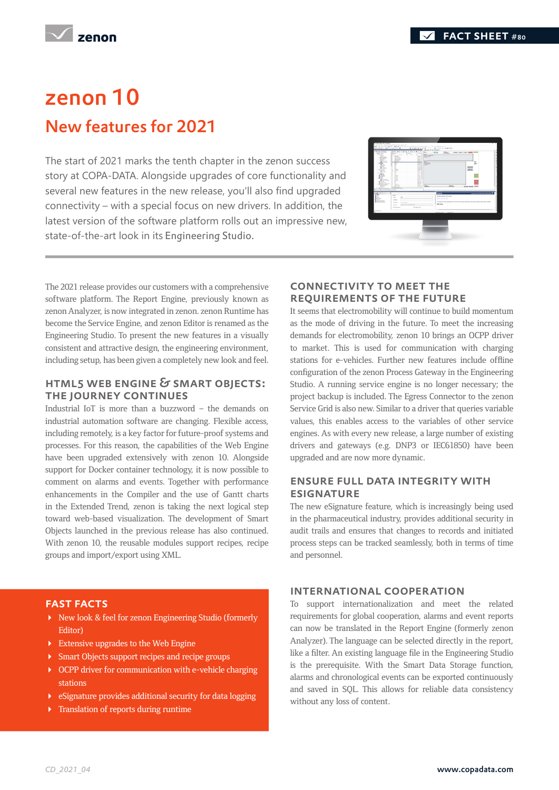**Zenon** 

## zenon 10 New features for 2021

The start of 2021 marks the tenth chapter in the zenon success story at COPA-DATA. Alongside upgrades of core functionality and several new features in the new release, you'll also find upgraded connectivity – with a special focus on new drivers. In addition, the latest version of the software platform rolls out an impressive new, state-of-the-art look in its Engineering Studio.



The 2021 release provides our customers with a comprehensive software platform. The Report Engine, previously known as zenon Analyzer, is now integrated in zenon. zenon Runtime has become the Service Engine, and zenon Editor is renamed as the Engineering Studio. To present the new features in a visually consistent and attractive design, the engineering environment, including setup, has been given a completely new look and feel.

#### HTML5 Web Engine & Smart Objects: the journey continues

Industrial IoT is more than a buzzword – the demands on industrial automation software are changing. Flexible access, including remotely, is a key factor for future-proof systems and processes. For this reason, the capabilities of the Web Engine have been upgraded extensively with zenon 10. Alongside support for Docker container technology, it is now possible to comment on alarms and events. Together with performance enhancements in the Compiler and the use of Gantt charts in the Extended Trend, zenon is taking the next logical step toward web-based visualization. The development of Smart Objects launched in the previous release has also continued. With zenon 10, the reusable modules support recipes, recipe groups and import/export using XML.

### Connectivity to meet the requirements of THE FUTURE

It seems that electromobility will continue to build momentum as the mode of driving in the future. To meet the increasing demands for electromobility, zenon 10 brings an OCPP driver to market. This is used for communication with charging stations for e-vehicles. Further new features include offline configuration of the zenon Process Gateway in the Engineering Studio. A running service engine is no longer necessary; the project backup is included. The Egress Connector to the zenon Service Grid is also new. Similar to a driver that queries variable values, this enables access to the variables of other service engines. As with every new release, a large number of existing drivers and gateways (e.g. DNP3 or IEC61850) have been upgraded and are now more dynamic.

#### Ensure full data integrity with **ESIGNATURE**

The new eSignature feature, which is increasingly being used in the pharmaceutical industry, provides additional security in audit trails and ensures that changes to records and initiated process steps can be tracked seamlessly, both in terms of time and personnel.

#### Fast facts

- New look & feel for zenon Engineering Studio (formerly Editor)
- $\blacktriangleright$  Extensive upgrades to the Web Engine
- **Smart Objects support recipes and recipe groups**
- ▶ OCPP driver for communication with e-vehicle charging stations
- eSignature provides additional security for data logging
- **F** Translation of reports during runtime

#### International cooperation

To support internationalization and meet the related requirements for global cooperation, alarms and event reports can now be translated in the Report Engine (formerly zenon Analyzer). The language can be selected directly in the report, like a filter. An existing language file in the Engineering Studio is the prerequisite. With the Smart Data Storage function, alarms and chronological events can be exported continuously and saved in SQL. This allows for reliable data consistency without any loss of content.